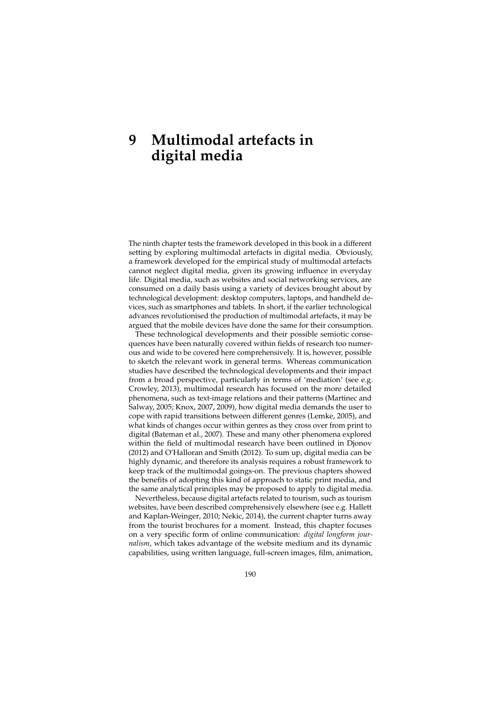# **9 Multimodal artefacts in digital media**

The ninth chapter tests the framework developed in this book in a different setting by exploring multimodal artefacts in digital media. Obviously, a framework developed for the empirical study of multimodal artefacts cannot neglect digital media, given its growing influence in everyday life. Digital media, such as websites and social networking services, are consumed on a daily basis using a variety of devices brought about by technological development: desktop computers, laptops, and handheld devices, such as smartphones and tablets. In short, if the earlier technological advances revolutionised the production of multimodal artefacts, it may be argued that the mobile devices have done the same for their consumption.

These technological developments and their possible semiotic consequences have been naturally covered within fields of research too numerous and wide to be covered here comprehensively. It is, however, possible to sketch the relevant work in general terms. Whereas communication studies have described the technological developments and their impact from a broad perspective, particularly in terms of 'mediation' (see e.g. Crowley, 2013), multimodal research has focused on the more detailed phenomena, such as text-image relations and their patterns (Martinec and Salway, 2005; Knox, 2007, 2009), how digital media demands the user to cope with rapid transitions between different genres (Lemke, 2005), and what kinds of changes occur within genres as they cross over from print to digital (Bateman et al., 2007). These and many other phenomena explored within the field of multimodal research have been outlined in Djonov (2012) and O'Halloran and Smith (2012). To sum up, digital media can be highly dynamic, and therefore its analysis requires a robust framework to keep track of the multimodal goings-on. The previous chapters showed the benefits of adopting this kind of approach to static print media, and the same analytical principles may be proposed to apply to digital media.

Nevertheless, because digital artefacts related to tourism, such as tourism websites, have been described comprehensively elsewhere (see e.g. Hallett and Kaplan-Weinger, 2010; Nekic, 2014), the current chapter turns away from the tourist brochures for a moment. Instead, this chapter focuses on a very specific form of online communication: *digital longform journalism*, which takes advantage of the website medium and its dynamic capabilities, using written language, full-screen images, film, animation,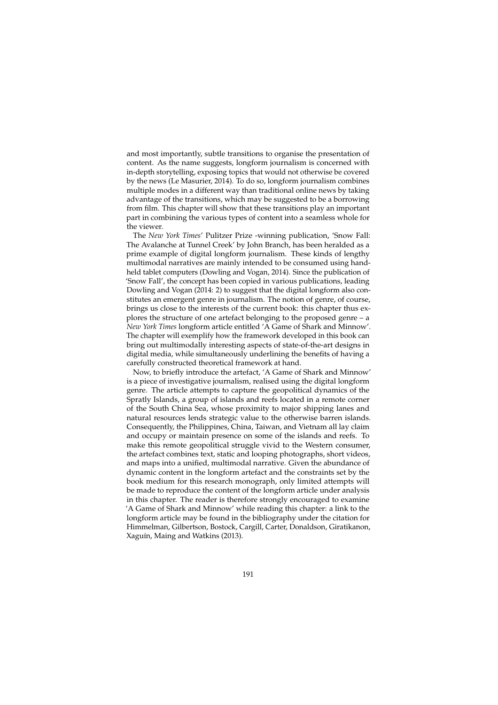and most importantly, subtle transitions to organise the presentation of content. As the name suggests, longform journalism is concerned with in-depth storytelling, exposing topics that would not otherwise be covered by the news (Le Masurier, 2014). To do so, longform journalism combines multiple modes in a different way than traditional online news by taking advantage of the transitions, which may be suggested to be a borrowing from film. This chapter will show that these transitions play an important part in combining the various types of content into a seamless whole for the viewer.

The *New York Times*' Pulitzer Prize -winning publication, 'Snow Fall: The Avalanche at Tunnel Creek' by John Branch, has been heralded as a prime example of digital longform journalism. These kinds of lengthy multimodal narratives are mainly intended to be consumed using handheld tablet computers (Dowling and Vogan, 2014). Since the publication of 'Snow Fall', the concept has been copied in various publications, leading Dowling and Vogan (2014: 2) to suggest that the digital longform also constitutes an emergent genre in journalism. The notion of genre, of course, brings us close to the interests of the current book: this chapter thus explores the structure of one artefact belonging to the proposed genre – a *New York Times* longform article entitled 'A Game of Shark and Minnow'. The chapter will exemplify how the framework developed in this book can bring out multimodally interesting aspects of state-of-the-art designs in digital media, while simultaneously underlining the benefits of having a carefully constructed theoretical framework at hand.

Now, to briefly introduce the artefact, 'A Game of Shark and Minnow' is a piece of investigative journalism, realised using the digital longform genre. The article attempts to capture the geopolitical dynamics of the Spratly Islands, a group of islands and reefs located in a remote corner of the South China Sea, whose proximity to major shipping lanes and natural resources lends strategic value to the otherwise barren islands. Consequently, the Philippines, China, Taiwan, and Vietnam all lay claim and occupy or maintain presence on some of the islands and reefs. To make this remote geopolitical struggle vivid to the Western consumer, the artefact combines text, static and looping photographs, short videos, and maps into a unified, multimodal narrative. Given the abundance of dynamic content in the longform artefact and the constraints set by the book medium for this research monograph, only limited attempts will be made to reproduce the content of the longform article under analysis in this chapter. The reader is therefore strongly encouraged to examine 'A Game of Shark and Minnow' while reading this chapter: a link to the longform article may be found in the bibliography under the citation for Himmelman, Gilbertson, Bostock, Cargill, Carter, Donaldson, Giratikanon, Xaguín, Maing and Watkins (2013).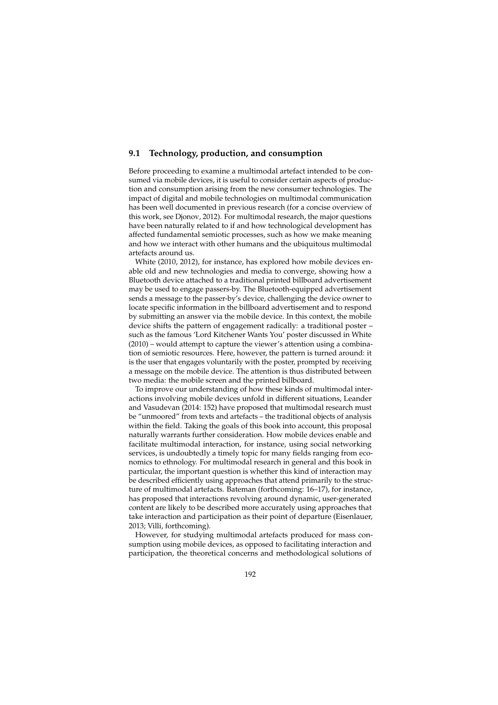## **9.1 Technology, production, and consumption**

Before proceeding to examine a multimodal artefact intended to be consumed via mobile devices, it is useful to consider certain aspects of production and consumption arising from the new consumer technologies. The impact of digital and mobile technologies on multimodal communication has been well documented in previous research (for a concise overview of this work, see Djonov, 2012). For multimodal research, the major questions have been naturally related to if and how technological development has affected fundamental semiotic processes, such as how we make meaning and how we interact with other humans and the ubiquitous multimodal artefacts around us.

White (2010, 2012), for instance, has explored how mobile devices enable old and new technologies and media to converge, showing how a Bluetooth device attached to a traditional printed billboard advertisement may be used to engage passers-by. The Bluetooth-equipped advertisement sends a message to the passer-by's device, challenging the device owner to locate specific information in the billboard advertisement and to respond by submitting an answer via the mobile device. In this context, the mobile device shifts the pattern of engagement radically: a traditional poster – such as the famous 'Lord Kitchener Wants You' poster discussed in White (2010) – would attempt to capture the viewer's attention using a combination of semiotic resources. Here, however, the pattern is turned around: it is the user that engages voluntarily with the poster, prompted by receiving a message on the mobile device. The attention is thus distributed between two media: the mobile screen and the printed billboard.

To improve our understanding of how these kinds of multimodal interactions involving mobile devices unfold in different situations, Leander and Vasudevan (2014: 152) have proposed that multimodal research must be "unmoored" from texts and artefacts – the traditional objects of analysis within the field. Taking the goals of this book into account, this proposal naturally warrants further consideration. How mobile devices enable and facilitate multimodal interaction, for instance, using social networking services, is undoubtedly a timely topic for many fields ranging from economics to ethnology. For multimodal research in general and this book in particular, the important question is whether this kind of interaction may be described efficiently using approaches that attend primarily to the structure of multimodal artefacts. Bateman (forthcoming: 16–17), for instance, has proposed that interactions revolving around dynamic, user-generated content are likely to be described more accurately using approaches that take interaction and participation as their point of departure (Eisenlauer, 2013; Villi, forthcoming).

However, for studying multimodal artefacts produced for mass consumption using mobile devices, as opposed to facilitating interaction and participation, the theoretical concerns and methodological solutions of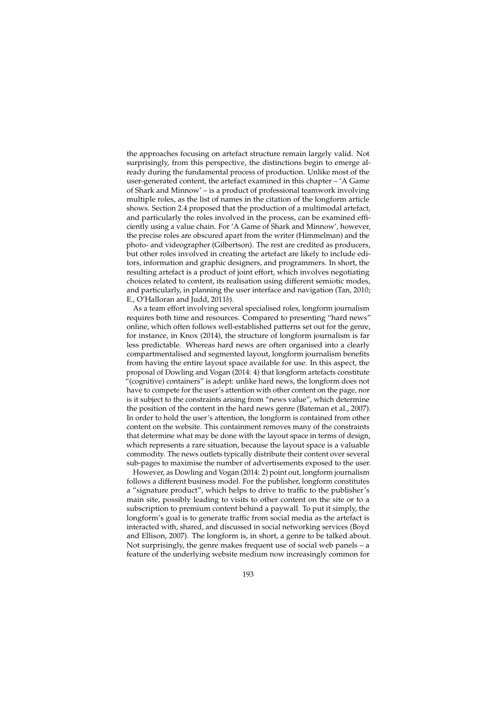the approaches focusing on artefact structure remain largely valid. Not surprisingly, from this perspective, the distinctions begin to emerge already during the fundamental process of production. Unlike most of the user-generated content, the artefact examined in this chapter – 'A Game of Shark and Minnow' – is a product of professional teamwork involving multiple roles, as the list of names in the citation of the longform article shows. Section 2.4 proposed that the production of a multimodal artefact, and particularly the roles involved in the process, can be examined efficiently using a value chain. For 'A Game of Shark and Minnow', however, the precise roles are obscured apart from the writer (Himmelman) and the photo- and videographer (Gilbertson). The rest are credited as producers, but other roles involved in creating the artefact are likely to include editors, information and graphic designers, and programmers. In short, the resulting artefact is a product of joint effort, which involves negotiating choices related to content, its realisation using different semiotic modes, and particularly, in planning the user interface and navigation (Tan, 2010; E., O'Halloran and Judd, 2011*b*).

As a team effort involving several specialised roles, longform journalism requires both time and resources. Compared to presenting "hard news" online, which often follows well-established patterns set out for the genre, for instance, in Knox (2014), the structure of longform journalism is far less predictable. Whereas hard news are often organised into a clearly compartmentalised and segmented layout, longform journalism benefits from having the entire layout space available for use. In this aspect, the proposal of Dowling and Vogan (2014: 4) that longform artefacts constitute  $\mu$ (cognitive) containers" is adept: unlike hard news, the longform does not have to compete for the user's attention with other content on the page, nor is it subject to the constraints arising from "news value", which determine the position of the content in the hard news genre (Bateman et al., 2007). In order to hold the user's attention, the longform is contained from other content on the website. This containment removes many of the constraints that determine what may be done with the layout space in terms of design, which represents a rare situation, because the layout space is a valuable commodity. The news outlets typically distribute their content over several sub-pages to maximise the number of advertisements exposed to the user.

However, as Dowling and Vogan (2014: 2) point out, longform journalism follows a different business model. For the publisher, longform constitutes a "signature product", which helps to drive to traffic to the publisher's main site, possibly leading to visits to other content on the site or to a subscription to premium content behind a paywall. To put it simply, the longform's goal is to generate traffic from social media as the artefact is interacted with, shared, and discussed in social networking services (Boyd and Ellison, 2007). The longform is, in short, a genre to be talked about. Not surprisingly, the genre makes frequent use of social web panels – a feature of the underlying website medium now increasingly common for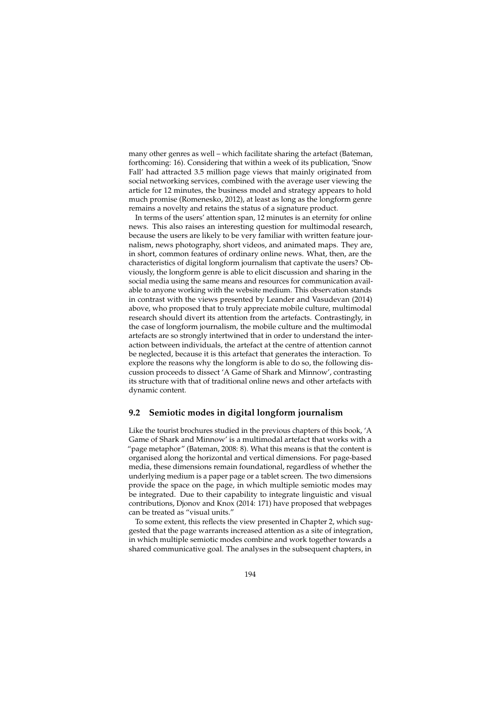many other genres as well – which facilitate sharing the artefact (Bateman, forthcoming: 16). Considering that within a week of its publication, 'Snow Fall' had attracted 3.5 million page views that mainly originated from social networking services, combined with the average user viewing the article for 12 minutes, the business model and strategy appears to hold much promise (Romenesko, 2012), at least as long as the longform genre remains a novelty and retains the status of a signature product.

In terms of the users' attention span, 12 minutes is an eternity for online news. This also raises an interesting question for multimodal research, because the users are likely to be very familiar with written feature journalism, news photography, short videos, and animated maps. They are, in short, common features of ordinary online news. What, then, are the characteristics of digital longform journalism that captivate the users? Obviously, the longform genre is able to elicit discussion and sharing in the social media using the same means and resources for communication available to anyone working with the website medium. This observation stands in contrast with the views presented by Leander and Vasudevan (2014) above, who proposed that to truly appreciate mobile culture, multimodal research should divert its attention from the artefacts. Contrastingly, in the case of longform journalism, the mobile culture and the multimodal artefacts are so strongly intertwined that in order to understand the interaction between individuals, the artefact at the centre of attention cannot be neglected, because it is this artefact that generates the interaction. To explore the reasons why the longform is able to do so, the following discussion proceeds to dissect 'A Game of Shark and Minnow', contrasting its structure with that of traditional online news and other artefacts with dynamic content.

#### **9.2 Semiotic modes in digital longform journalism**

Like the tourist brochures studied in the previous chapters of this book, 'A Game of Shark and Minnow' is a multimodal artefact that works with a "page metaphor" (Bateman, 2008: 8). What this means is that the content is organised along the horizontal and vertical dimensions. For page-based media, these dimensions remain foundational, regardless of whether the underlying medium is a paper page or a tablet screen. The two dimensions provide the space on the page, in which multiple semiotic modes may be integrated. Due to their capability to integrate linguistic and visual contributions, Djonov and Knox (2014: 171) have proposed that webpages can be treated as "visual units."

To some extent, this reflects the view presented in Chapter 2, which suggested that the page warrants increased attention as a site of integration, in which multiple semiotic modes combine and work together towards a shared communicative goal. The analyses in the subsequent chapters, in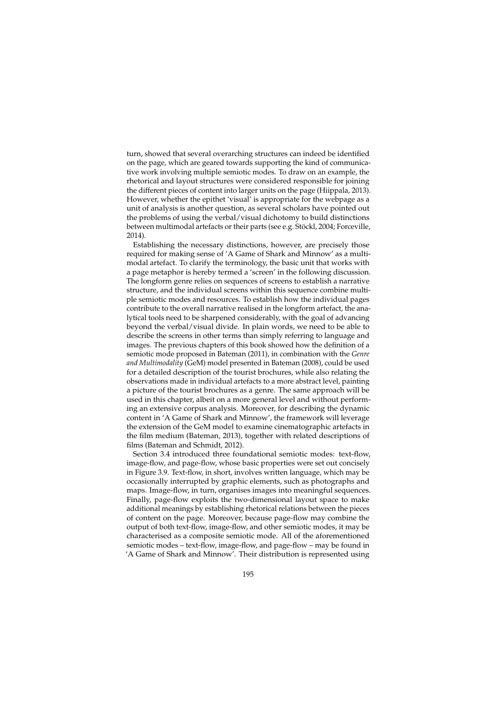turn, showed that several overarching structures can indeed be identified on the page, which are geared towards supporting the kind of communicative work involving multiple semiotic modes. To draw on an example, the rhetorical and layout structures were considered responsible for joining the different pieces of content into larger units on the page (Hiippala, 2013). However, whether the epithet 'visual' is appropriate for the webpage as a unit of analysis is another question, as several scholars have pointed out the problems of using the verbal/visual dichotomy to build distinctions between multimodal artefacts or their parts (see e.g. Stöckl, 2004; Forceville, 2014).

Establishing the necessary distinctions, however, are precisely those required for making sense of 'A Game of Shark and Minnow' as a multimodal artefact. To clarify the terminology, the basic unit that works with a page metaphor is hereby termed a 'screen' in the following discussion. The longform genre relies on sequences of screens to establish a narrative structure, and the individual screens within this sequence combine multiple semiotic modes and resources. To establish how the individual pages contribute to the overall narrative realised in the longform artefact, the analytical tools need to be sharpened considerably, with the goal of advancing beyond the verbal/visual divide. In plain words, we need to be able to describe the screens in other terms than simply referring to language and images. The previous chapters of this book showed how the definition of a semiotic mode proposed in Bateman (2011), in combination with the *Genre and Multimodality* (GeM) model presented in Bateman (2008), could be used for a detailed description of the tourist brochures, while also relating the observations made in individual artefacts to a more abstract level, painting a picture of the tourist brochures as a genre. The same approach will be used in this chapter, albeit on a more general level and without performing an extensive corpus analysis. Moreover, for describing the dynamic content in 'A Game of Shark and Minnow', the framework will leverage the extension of the GeM model to examine cinematographic artefacts in the film medium (Bateman, 2013), together with related descriptions of films (Bateman and Schmidt, 2012).

Section 3.4 introduced three foundational semiotic modes: text-flow, image-flow, and page-flow, whose basic properties were set out concisely in Figure 3.9. Text-flow, in short, involves written language, which may be occasionally interrupted by graphic elements, such as photographs and maps. Image-flow, in turn, organises images into meaningful sequences. Finally, page-flow exploits the two-dimensional layout space to make additional meanings by establishing rhetorical relations between the pieces of content on the page. Moreover, because page-flow may combine the output of both text-flow, image-flow, and other semiotic modes, it may be characterised as a composite semiotic mode. All of the aforementioned semiotic modes – text-flow, image-flow, and page-flow – may be found in 'A Game of Shark and Minnow'. Their distribution is represented using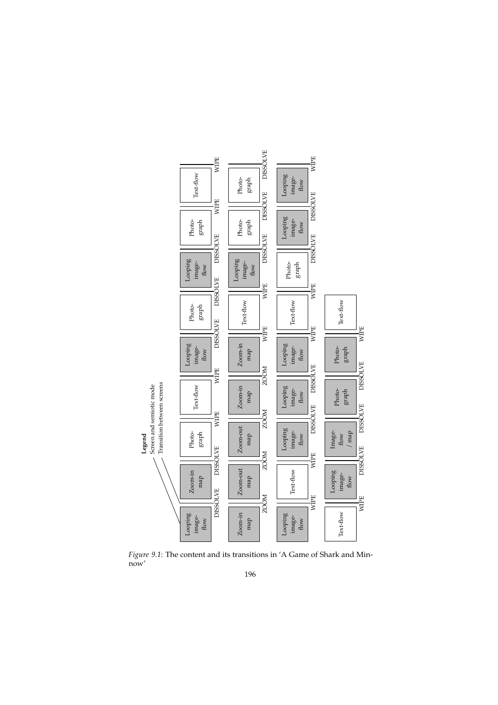

*Figure 9.1*: The content and its transitions in 'A Game of Shark and Minnow'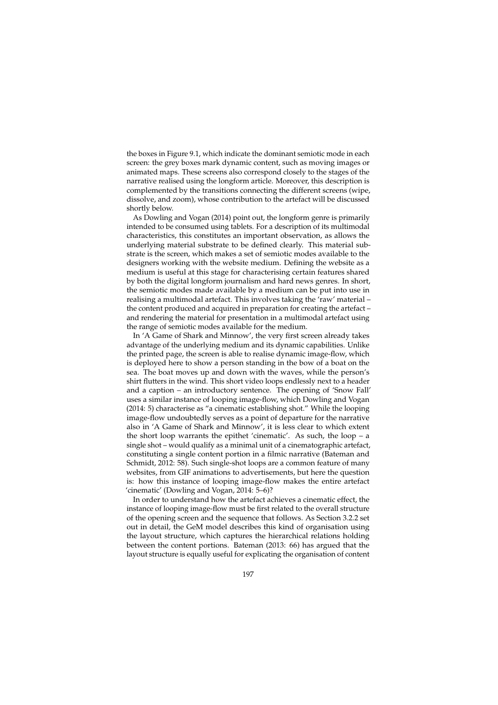the boxes in Figure 9.1, which indicate the dominant semiotic mode in each screen: the grey boxes mark dynamic content, such as moving images or animated maps. These screens also correspond closely to the stages of the narrative realised using the longform article. Moreover, this description is complemented by the transitions connecting the different screens (wipe, dissolve, and zoom), whose contribution to the artefact will be discussed shortly below.

As Dowling and Vogan (2014) point out, the longform genre is primarily intended to be consumed using tablets. For a description of its multimodal characteristics, this constitutes an important observation, as allows the underlying material substrate to be defined clearly. This material substrate is the screen, which makes a set of semiotic modes available to the designers working with the website medium. Defining the website as a medium is useful at this stage for characterising certain features shared by both the digital longform journalism and hard news genres. In short, the semiotic modes made available by a medium can be put into use in realising a multimodal artefact. This involves taking the 'raw' material – the content produced and acquired in preparation for creating the artefact – and rendering the material for presentation in a multimodal artefact using the range of semiotic modes available for the medium.

In 'A Game of Shark and Minnow', the very first screen already takes advantage of the underlying medium and its dynamic capabilities. Unlike the printed page, the screen is able to realise dynamic image-flow, which is deployed here to show a person standing in the bow of a boat on the sea. The boat moves up and down with the waves, while the person's shirt flutters in the wind. This short video loops endlessly next to a header and a caption – an introductory sentence. The opening of 'Snow Fall' uses a similar instance of looping image-flow, which Dowling and Vogan (2014: 5) characterise as "a cinematic establishing shot." While the looping image-flow undoubtedly serves as a point of departure for the narrative also in 'A Game of Shark and Minnow', it is less clear to which extent the short loop warrants the epithet 'cinematic'. As such, the loop – a single shot – would qualify as a minimal unit of a cinematographic artefact, constituting a single content portion in a filmic narrative (Bateman and Schmidt, 2012: 58). Such single-shot loops are a common feature of many websites, from GIF animations to advertisements, but here the question is: how this instance of looping image-flow makes the entire artefact 'cinematic' (Dowling and Vogan, 2014: 5–6)?

In order to understand how the artefact achieves a cinematic effect, the instance of looping image-flow must be first related to the overall structure of the opening screen and the sequence that follows. As Section 3.2.2 set out in detail, the GeM model describes this kind of organisation using the layout structure, which captures the hierarchical relations holding between the content portions. Bateman (2013: 66) has argued that the layout structure is equally useful for explicating the organisation of content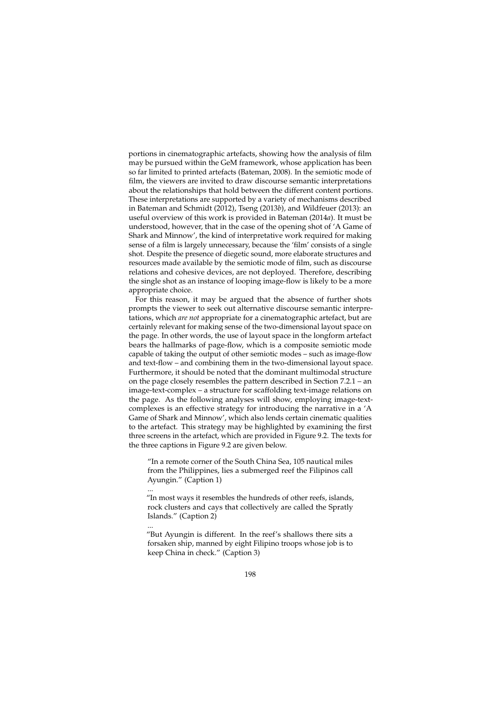portions in cinematographic artefacts, showing how the analysis of film may be pursued within the GeM framework, whose application has been so far limited to printed artefacts (Bateman, 2008). In the semiotic mode of film, the viewers are invited to draw discourse semantic interpretations about the relationships that hold between the different content portions. These interpretations are supported by a variety of mechanisms described in Bateman and Schmidt (2012), Tseng (2013*b*), and Wildfeuer (2013): an useful overview of this work is provided in Bateman (2014*a*). It must be understood, however, that in the case of the opening shot of 'A Game of Shark and Minnow', the kind of interpretative work required for making sense of a film is largely unnecessary, because the 'film' consists of a single shot. Despite the presence of diegetic sound, more elaborate structures and resources made available by the semiotic mode of film, such as discourse relations and cohesive devices, are not deployed. Therefore, describing the single shot as an instance of looping image-flow is likely to be a more appropriate choice.

For this reason, it may be argued that the absence of further shots prompts the viewer to seek out alternative discourse semantic interpretations, which *are not* appropriate for a cinematographic artefact, but are certainly relevant for making sense of the two-dimensional layout space on the page. In other words, the use of layout space in the longform artefact bears the hallmarks of page-flow, which is a composite semiotic mode capable of taking the output of other semiotic modes – such as image-flow and text-flow – and combining them in the two-dimensional layout space. Furthermore, it should be noted that the dominant multimodal structure on the page closely resembles the pattern described in Section 7.2.1 – an image-text-complex – a structure for scaffolding text-image relations on the page. As the following analyses will show, employing image-textcomplexes is an effective strategy for introducing the narrative in a 'A Game of Shark and Minnow', which also lends certain cinematic qualities to the artefact. This strategy may be highlighted by examining the first three screens in the artefact, which are provided in Figure 9.2. The texts for the three captions in Figure 9.2 are given below.

"In a remote corner of the South China Sea, 105 nautical miles from the Philippines, lies a submerged reef the Filipinos call Ayungin." (Caption 1)

...

...

"In most ways it resembles the hundreds of other reefs, islands, rock clusters and cays that collectively are called the Spratly Islands." (Caption 2)

"But Ayungin is different. In the reef's shallows there sits a forsaken ship, manned by eight Filipino troops whose job is to keep China in check." (Caption 3)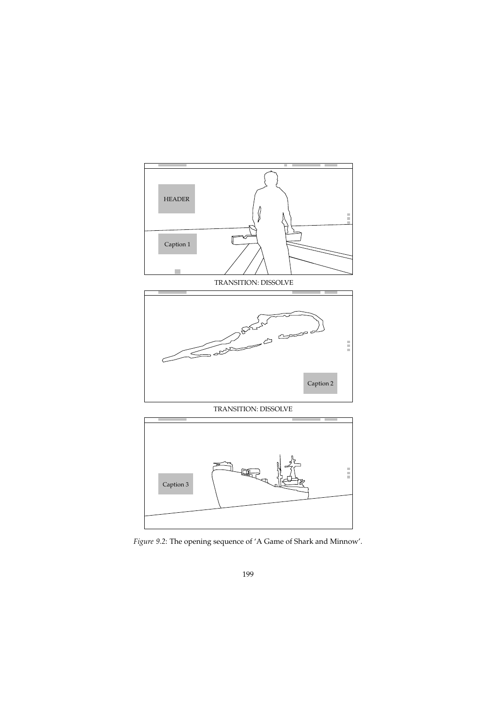

*Figure 9.2*: The opening sequence of 'A Game of Shark and Minnow'.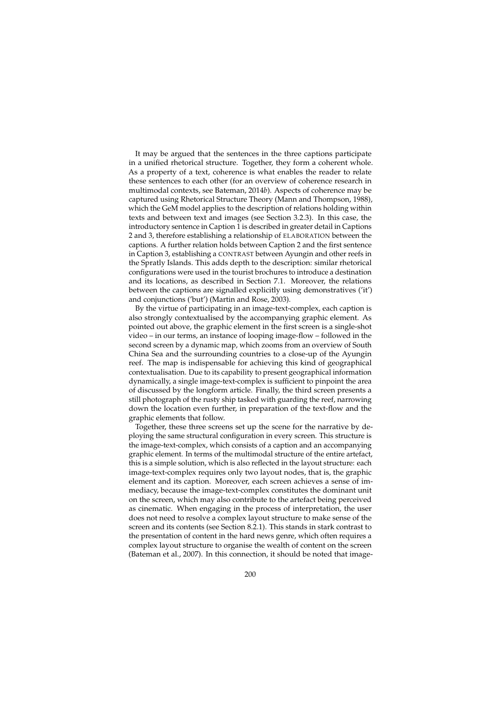It may be argued that the sentences in the three captions participate in a unified rhetorical structure. Together, they form a coherent whole. As a property of a text, coherence is what enables the reader to relate these sentences to each other (for an overview of coherence research in multimodal contexts, see Bateman, 2014*b*). Aspects of coherence may be captured using Rhetorical Structure Theory (Mann and Thompson, 1988), which the GeM model applies to the description of relations holding within texts and between text and images (see Section 3.2.3). In this case, the introductory sentence in Caption 1 is described in greater detail in Captions 2 and 3, therefore establishing a relationship of ELABORATION between the captions. A further relation holds between Caption 2 and the first sentence in Caption 3, establishing a CONTRAST between Ayungin and other reefs in the Spratly Islands. This adds depth to the description: similar rhetorical configurations were used in the tourist brochures to introduce a destination and its locations, as described in Section 7.1. Moreover, the relations between the captions are signalled explicitly using demonstratives ('it') and conjunctions ('but') (Martin and Rose, 2003).

By the virtue of participating in an image-text-complex, each caption is also strongly contextualised by the accompanying graphic element. As pointed out above, the graphic element in the first screen is a single-shot video – in our terms, an instance of looping image-flow – followed in the second screen by a dynamic map, which zooms from an overview of South China Sea and the surrounding countries to a close-up of the Ayungin reef. The map is indispensable for achieving this kind of geographical contextualisation. Due to its capability to present geographical information dynamically, a single image-text-complex is sufficient to pinpoint the area of discussed by the longform article. Finally, the third screen presents a still photograph of the rusty ship tasked with guarding the reef, narrowing down the location even further, in preparation of the text-flow and the graphic elements that follow.

Together, these three screens set up the scene for the narrative by deploying the same structural configuration in every screen. This structure is the image-text-complex, which consists of a caption and an accompanying graphic element. In terms of the multimodal structure of the entire artefact, this is a simple solution, which is also reflected in the layout structure: each image-text-complex requires only two layout nodes, that is, the graphic element and its caption. Moreover, each screen achieves a sense of immediacy, because the image-text-complex constitutes the dominant unit on the screen, which may also contribute to the artefact being perceived as cinematic. When engaging in the process of interpretation, the user does not need to resolve a complex layout structure to make sense of the screen and its contents (see Section 8.2.1). This stands in stark contrast to the presentation of content in the hard news genre, which often requires a complex layout structure to organise the wealth of content on the screen (Bateman et al., 2007). In this connection, it should be noted that image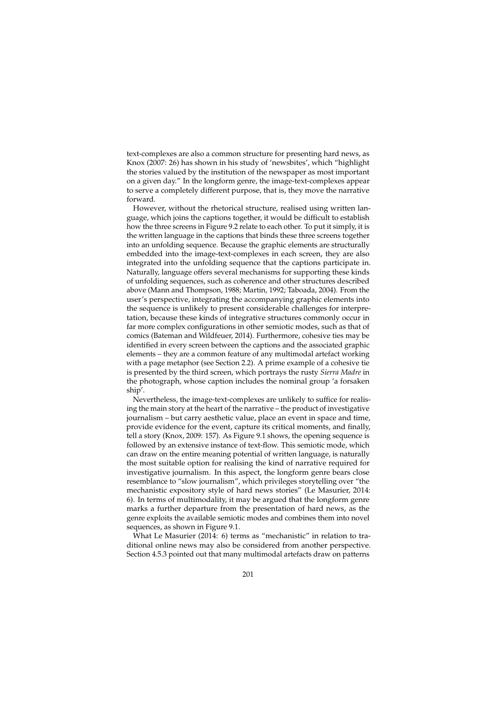text-complexes are also a common structure for presenting hard news, as Knox (2007: 26) has shown in his study of 'newsbites', which "highlight the stories valued by the institution of the newspaper as most important on a given day." In the longform genre, the image-text-complexes appear to serve a completely different purpose, that is, they move the narrative forward.

However, without the rhetorical structure, realised using written language, which joins the captions together, it would be difficult to establish how the three screens in Figure 9.2 relate to each other. To put it simply, it is the written language in the captions that binds these three screens together into an unfolding sequence. Because the graphic elements are structurally embedded into the image-text-complexes in each screen, they are also integrated into the unfolding sequence that the captions participate in. Naturally, language offers several mechanisms for supporting these kinds of unfolding sequences, such as coherence and other structures described above (Mann and Thompson, 1988; Martin, 1992; Taboada, 2004). From the user's perspective, integrating the accompanying graphic elements into the sequence is unlikely to present considerable challenges for interpretation, because these kinds of integrative structures commonly occur in far more complex configurations in other semiotic modes, such as that of comics (Bateman and Wildfeuer, 2014). Furthermore, cohesive ties may be identified in every screen between the captions and the associated graphic elements – they are a common feature of any multimodal artefact working with a page metaphor (see Section 2.2). A prime example of a cohesive tie is presented by the third screen, which portrays the rusty *Sierra Madre* in the photograph, whose caption includes the nominal group 'a forsaken ship'.

Nevertheless, the image-text-complexes are unlikely to suffice for realising the main story at the heart of the narrative – the product of investigative journalism – but carry aesthetic value, place an event in space and time, provide evidence for the event, capture its critical moments, and finally, tell a story (Knox, 2009: 157). As Figure 9.1 shows, the opening sequence is followed by an extensive instance of text-flow. This semiotic mode, which can draw on the entire meaning potential of written language, is naturally the most suitable option for realising the kind of narrative required for investigative journalism. In this aspect, the longform genre bears close resemblance to "slow journalism", which privileges storytelling over "the mechanistic expository style of hard news stories" (Le Masurier, 2014: 6). In terms of multimodality, it may be argued that the longform genre marks a further departure from the presentation of hard news, as the genre exploits the available semiotic modes and combines them into novel sequences, as shown in Figure 9.1.

What Le Masurier (2014: 6) terms as "mechanistic" in relation to traditional online news may also be considered from another perspective. Section 4.5.3 pointed out that many multimodal artefacts draw on patterns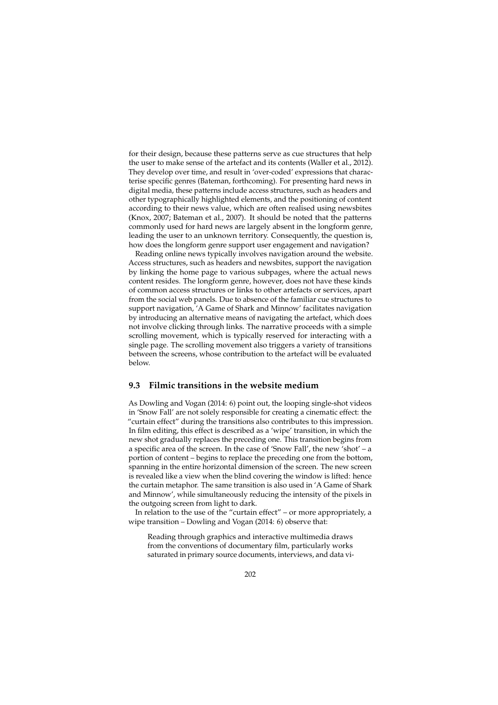for their design, because these patterns serve as cue structures that help the user to make sense of the artefact and its contents (Waller et al., 2012). They develop over time, and result in 'over-coded' expressions that characterise specific genres (Bateman, forthcoming). For presenting hard news in digital media, these patterns include access structures, such as headers and other typographically highlighted elements, and the positioning of content according to their news value, which are often realised using newsbites (Knox, 2007; Bateman et al., 2007). It should be noted that the patterns commonly used for hard news are largely absent in the longform genre, leading the user to an unknown territory. Consequently, the question is, how does the longform genre support user engagement and navigation?

Reading online news typically involves navigation around the website. Access structures, such as headers and newsbites, support the navigation by linking the home page to various subpages, where the actual news content resides. The longform genre, however, does not have these kinds of common access structures or links to other artefacts or services, apart from the social web panels. Due to absence of the familiar cue structures to support navigation, 'A Game of Shark and Minnow' facilitates navigation by introducing an alternative means of navigating the artefact, which does not involve clicking through links. The narrative proceeds with a simple scrolling movement, which is typically reserved for interacting with a single page. The scrolling movement also triggers a variety of transitions between the screens, whose contribution to the artefact will be evaluated below.

#### **9.3 Filmic transitions in the website medium**

As Dowling and Vogan (2014: 6) point out, the looping single-shot videos in 'Snow Fall' are not solely responsible for creating a cinematic effect: the "curtain effect" during the transitions also contributes to this impression. In film editing, this effect is described as a 'wipe' transition, in which the new shot gradually replaces the preceding one. This transition begins from a specific area of the screen. In the case of 'Snow Fall', the new 'shot' – a portion of content – begins to replace the preceding one from the bottom, spanning in the entire horizontal dimension of the screen. The new screen is revealed like a view when the blind covering the window is lifted: hence the curtain metaphor. The same transition is also used in 'A Game of Shark and Minnow', while simultaneously reducing the intensity of the pixels in the outgoing screen from light to dark.

In relation to the use of the "curtain effect" – or more appropriately, a wipe transition – Dowling and Vogan (2014: 6) observe that:

Reading through graphics and interactive multimedia draws from the conventions of documentary film, particularly works saturated in primary source documents, interviews, and data vi-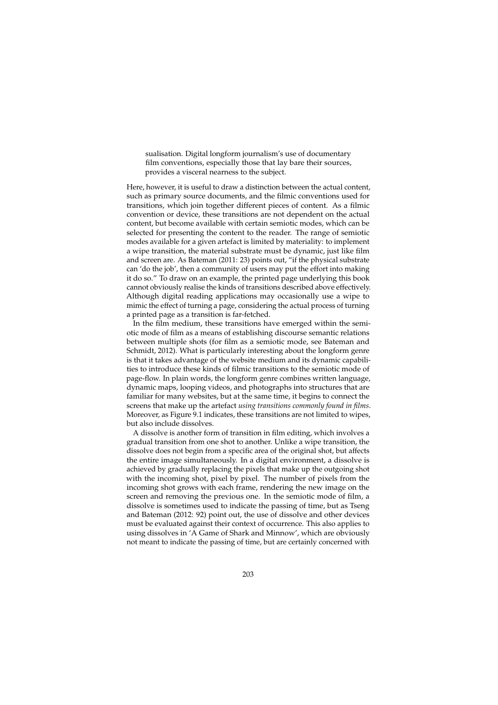sualisation. Digital longform journalism's use of documentary film conventions, especially those that lay bare their sources, provides a visceral nearness to the subject.

Here, however, it is useful to draw a distinction between the actual content, such as primary source documents, and the filmic conventions used for transitions, which join together different pieces of content. As a filmic convention or device, these transitions are not dependent on the actual content, but become available with certain semiotic modes, which can be selected for presenting the content to the reader. The range of semiotic modes available for a given artefact is limited by materiality: to implement a wipe transition, the material substrate must be dynamic, just like film and screen are. As Bateman (2011: 23) points out, "if the physical substrate can 'do the job', then a community of users may put the effort into making it do so." To draw on an example, the printed page underlying this book cannot obviously realise the kinds of transitions described above effectively. Although digital reading applications may occasionally use a wipe to mimic the effect of turning a page, considering the actual process of turning a printed page as a transition is far-fetched.

In the film medium, these transitions have emerged within the semiotic mode of film as a means of establishing discourse semantic relations between multiple shots (for film as a semiotic mode, see Bateman and Schmidt, 2012). What is particularly interesting about the longform genre is that it takes advantage of the website medium and its dynamic capabilities to introduce these kinds of filmic transitions to the semiotic mode of page-flow. In plain words, the longform genre combines written language, dynamic maps, looping videos, and photographs into structures that are familiar for many websites, but at the same time, it begins to connect the screens that make up the artefact *using transitions commonly found in films*. Moreover, as Figure 9.1 indicates, these transitions are not limited to wipes, but also include dissolves.

A dissolve is another form of transition in film editing, which involves a gradual transition from one shot to another. Unlike a wipe transition, the dissolve does not begin from a specific area of the original shot, but affects the entire image simultaneously. In a digital environment, a dissolve is achieved by gradually replacing the pixels that make up the outgoing shot with the incoming shot, pixel by pixel. The number of pixels from the incoming shot grows with each frame, rendering the new image on the screen and removing the previous one. In the semiotic mode of film, a dissolve is sometimes used to indicate the passing of time, but as Tseng and Bateman (2012: 92) point out, the use of dissolve and other devices must be evaluated against their context of occurrence. This also applies to using dissolves in 'A Game of Shark and Minnow', which are obviously not meant to indicate the passing of time, but are certainly concerned with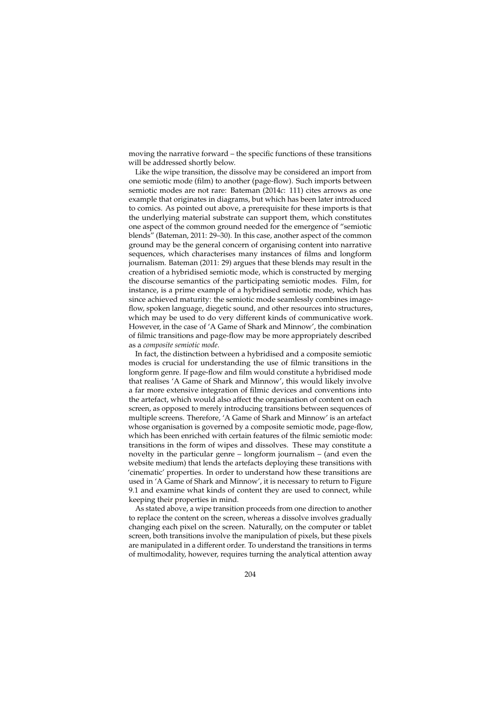moving the narrative forward – the specific functions of these transitions will be addressed shortly below.

Like the wipe transition, the dissolve may be considered an import from one semiotic mode (film) to another (page-flow). Such imports between semiotic modes are not rare: Bateman (2014*c*: 111) cites arrows as one example that originates in diagrams, but which has been later introduced to comics. As pointed out above, a prerequisite for these imports is that the underlying material substrate can support them, which constitutes one aspect of the common ground needed for the emergence of "semiotic blends" (Bateman, 2011: 29–30). In this case, another aspect of the common ground may be the general concern of organising content into narrative sequences, which characterises many instances of films and longform journalism. Bateman (2011: 29) argues that these blends may result in the creation of a hybridised semiotic mode, which is constructed by merging the discourse semantics of the participating semiotic modes. Film, for instance, is a prime example of a hybridised semiotic mode, which has since achieved maturity: the semiotic mode seamlessly combines imageflow, spoken language, diegetic sound, and other resources into structures, which may be used to do very different kinds of communicative work. However, in the case of 'A Game of Shark and Minnow', the combination of filmic transitions and page-flow may be more appropriately described as a *composite semiotic mode*.

In fact, the distinction between a hybridised and a composite semiotic modes is crucial for understanding the use of filmic transitions in the longform genre. If page-flow and film would constitute a hybridised mode that realises 'A Game of Shark and Minnow', this would likely involve a far more extensive integration of filmic devices and conventions into the artefact, which would also affect the organisation of content on each screen, as opposed to merely introducing transitions between sequences of multiple screens. Therefore, 'A Game of Shark and Minnow' is an artefact whose organisation is governed by a composite semiotic mode, page-flow, which has been enriched with certain features of the filmic semiotic mode: transitions in the form of wipes and dissolves. These may constitute a novelty in the particular genre – longform journalism – (and even the website medium) that lends the artefacts deploying these transitions with 'cinematic' properties. In order to understand how these transitions are used in 'A Game of Shark and Minnow', it is necessary to return to Figure 9.1 and examine what kinds of content they are used to connect, while keeping their properties in mind.

As stated above, a wipe transition proceeds from one direction to another to replace the content on the screen, whereas a dissolve involves gradually changing each pixel on the screen. Naturally, on the computer or tablet screen, both transitions involve the manipulation of pixels, but these pixels are manipulated in a different order. To understand the transitions in terms of multimodality, however, requires turning the analytical attention away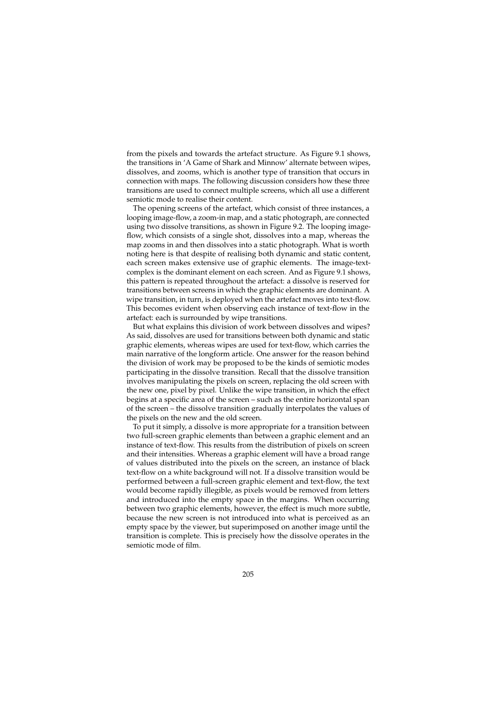from the pixels and towards the artefact structure. As Figure 9.1 shows, the transitions in 'A Game of Shark and Minnow' alternate between wipes, dissolves, and zooms, which is another type of transition that occurs in connection with maps. The following discussion considers how these three transitions are used to connect multiple screens, which all use a different semiotic mode to realise their content.

The opening screens of the artefact, which consist of three instances, a looping image-flow, a zoom-in map, and a static photograph, are connected using two dissolve transitions, as shown in Figure 9.2. The looping imageflow, which consists of a single shot, dissolves into a map, whereas the map zooms in and then dissolves into a static photograph. What is worth noting here is that despite of realising both dynamic and static content, each screen makes extensive use of graphic elements. The image-textcomplex is the dominant element on each screen. And as Figure 9.1 shows, this pattern is repeated throughout the artefact: a dissolve is reserved for transitions between screens in which the graphic elements are dominant. A wipe transition, in turn, is deployed when the artefact moves into text-flow. This becomes evident when observing each instance of text-flow in the artefact: each is surrounded by wipe transitions.

But what explains this division of work between dissolves and wipes? As said, dissolves are used for transitions between both dynamic and static graphic elements, whereas wipes are used for text-flow, which carries the main narrative of the longform article. One answer for the reason behind the division of work may be proposed to be the kinds of semiotic modes participating in the dissolve transition. Recall that the dissolve transition involves manipulating the pixels on screen, replacing the old screen with the new one, pixel by pixel. Unlike the wipe transition, in which the effect begins at a specific area of the screen – such as the entire horizontal span of the screen – the dissolve transition gradually interpolates the values of the pixels on the new and the old screen.

To put it simply, a dissolve is more appropriate for a transition between two full-screen graphic elements than between a graphic element and an instance of text-flow. This results from the distribution of pixels on screen and their intensities. Whereas a graphic element will have a broad range of values distributed into the pixels on the screen, an instance of black text-flow on a white background will not. If a dissolve transition would be performed between a full-screen graphic element and text-flow, the text would become rapidly illegible, as pixels would be removed from letters and introduced into the empty space in the margins. When occurring between two graphic elements, however, the effect is much more subtle, because the new screen is not introduced into what is perceived as an empty space by the viewer, but superimposed on another image until the transition is complete. This is precisely how the dissolve operates in the semiotic mode of film.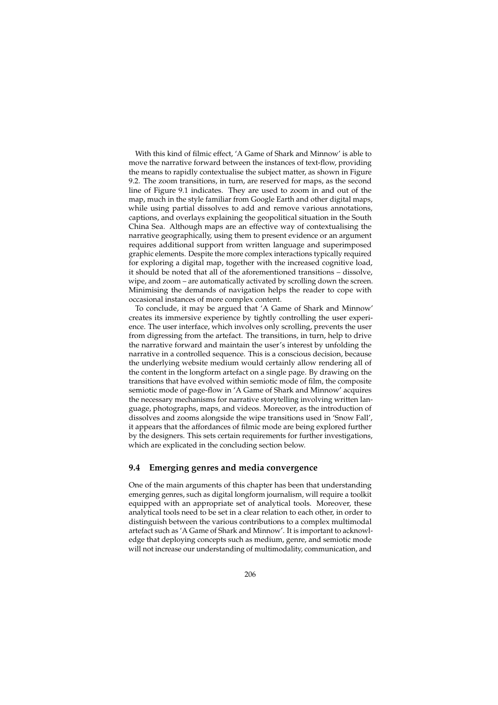With this kind of filmic effect, 'A Game of Shark and Minnow' is able to move the narrative forward between the instances of text-flow, providing the means to rapidly contextualise the subject matter, as shown in Figure 9.2. The zoom transitions, in turn, are reserved for maps, as the second line of Figure 9.1 indicates. They are used to zoom in and out of the map, much in the style familiar from Google Earth and other digital maps, while using partial dissolves to add and remove various annotations, captions, and overlays explaining the geopolitical situation in the South China Sea. Although maps are an effective way of contextualising the narrative geographically, using them to present evidence or an argument requires additional support from written language and superimposed graphic elements. Despite the more complex interactions typically required for exploring a digital map, together with the increased cognitive load, it should be noted that all of the aforementioned transitions – dissolve, wipe, and zoom – are automatically activated by scrolling down the screen. Minimising the demands of navigation helps the reader to cope with occasional instances of more complex content.

To conclude, it may be argued that 'A Game of Shark and Minnow' creates its immersive experience by tightly controlling the user experience. The user interface, which involves only scrolling, prevents the user from digressing from the artefact. The transitions, in turn, help to drive the narrative forward and maintain the user's interest by unfolding the narrative in a controlled sequence. This is a conscious decision, because the underlying website medium would certainly allow rendering all of the content in the longform artefact on a single page. By drawing on the transitions that have evolved within semiotic mode of film, the composite semiotic mode of page-flow in 'A Game of Shark and Minnow' acquires the necessary mechanisms for narrative storytelling involving written language, photographs, maps, and videos. Moreover, as the introduction of dissolves and zooms alongside the wipe transitions used in 'Snow Fall', it appears that the affordances of filmic mode are being explored further by the designers. This sets certain requirements for further investigations, which are explicated in the concluding section below.

### **9.4 Emerging genres and media convergence**

One of the main arguments of this chapter has been that understanding emerging genres, such as digital longform journalism, will require a toolkit equipped with an appropriate set of analytical tools. Moreover, these analytical tools need to be set in a clear relation to each other, in order to distinguish between the various contributions to a complex multimodal artefact such as 'A Game of Shark and Minnow'. It is important to acknowledge that deploying concepts such as medium, genre, and semiotic mode will not increase our understanding of multimodality, communication, and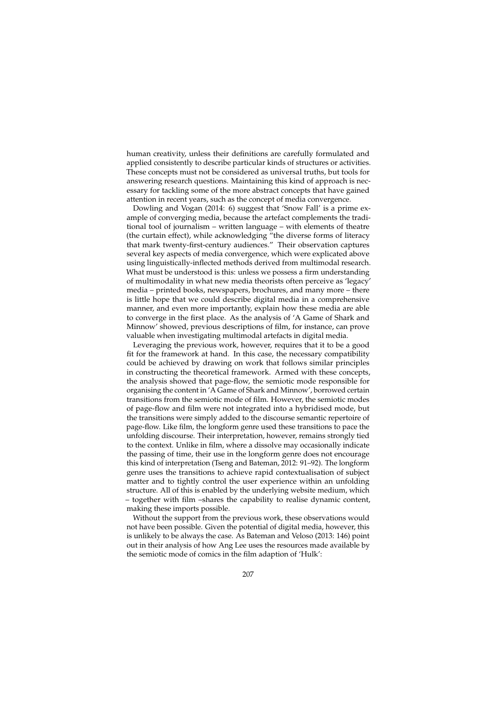human creativity, unless their definitions are carefully formulated and applied consistently to describe particular kinds of structures or activities. These concepts must not be considered as universal truths, but tools for answering research questions. Maintaining this kind of approach is necessary for tackling some of the more abstract concepts that have gained attention in recent years, such as the concept of media convergence.

Dowling and Vogan (2014: 6) suggest that 'Snow Fall' is a prime example of converging media, because the artefact complements the traditional tool of journalism – written language – with elements of theatre (the curtain effect), while acknowledging "the diverse forms of literacy that mark twenty-first-century audiences." Their observation captures several key aspects of media convergence, which were explicated above using linguistically-inflected methods derived from multimodal research. What must be understood is this: unless we possess a firm understanding of multimodality in what new media theorists often perceive as 'legacy' media – printed books, newspapers, brochures, and many more – there is little hope that we could describe digital media in a comprehensive manner, and even more importantly, explain how these media are able to converge in the first place. As the analysis of 'A Game of Shark and Minnow' showed, previous descriptions of film, for instance, can prove valuable when investigating multimodal artefacts in digital media.

Leveraging the previous work, however, requires that it to be a good fit for the framework at hand. In this case, the necessary compatibility could be achieved by drawing on work that follows similar principles in constructing the theoretical framework. Armed with these concepts, the analysis showed that page-flow, the semiotic mode responsible for organising the content in 'A Game of Shark and Minnow', borrowed certain transitions from the semiotic mode of film. However, the semiotic modes of page-flow and film were not integrated into a hybridised mode, but the transitions were simply added to the discourse semantic repertoire of page-flow. Like film, the longform genre used these transitions to pace the unfolding discourse. Their interpretation, however, remains strongly tied to the context. Unlike in film, where a dissolve may occasionally indicate the passing of time, their use in the longform genre does not encourage this kind of interpretation (Tseng and Bateman, 2012: 91–92). The longform genre uses the transitions to achieve rapid contextualisation of subject matter and to tightly control the user experience within an unfolding structure. All of this is enabled by the underlying website medium, which – together with film –shares the capability to realise dynamic content, making these imports possible.

Without the support from the previous work, these observations would not have been possible. Given the potential of digital media, however, this is unlikely to be always the case. As Bateman and Veloso (2013: 146) point out in their analysis of how Ang Lee uses the resources made available by the semiotic mode of comics in the film adaption of 'Hulk':